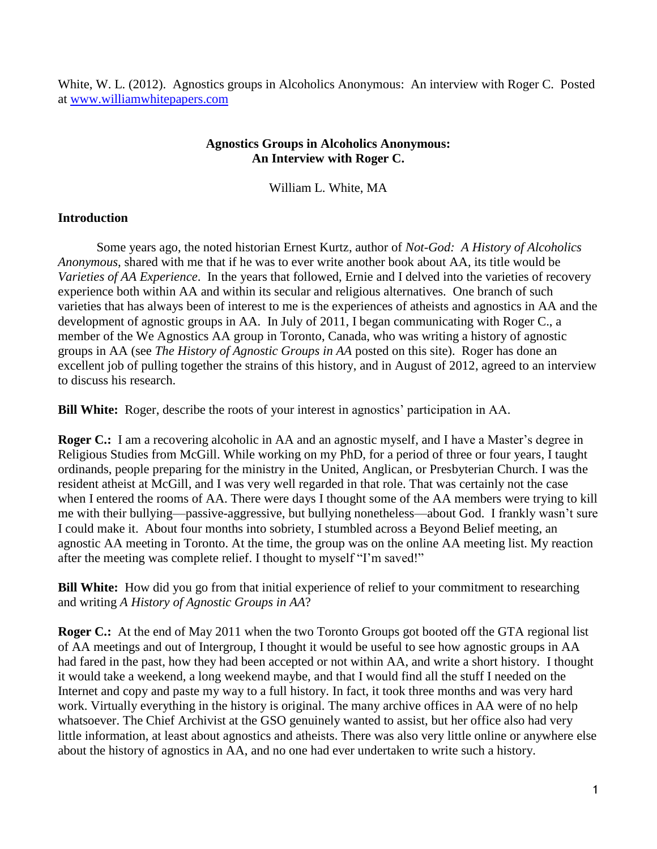White, W. L. (2012). Agnostics groups in Alcoholics Anonymous: An interview with Roger C. Posted at [www.williamwhitepapers.com](http://www.williamwhitepapers.com/)

## **Agnostics Groups in Alcoholics Anonymous: An Interview with Roger C.**

William L. White, MA

## **Introduction**

Some years ago, the noted historian Ernest Kurtz, author of *Not-God: A History of Alcoholics Anonymous*, shared with me that if he was to ever write another book about AA, its title would be *Varieties of AA Experience*. In the years that followed, Ernie and I delved into the varieties of recovery experience both within AA and within its secular and religious alternatives. One branch of such varieties that has always been of interest to me is the experiences of atheists and agnostics in AA and the development of agnostic groups in AA. In July of 2011, I began communicating with Roger C., a member of the We Agnostics AA group in Toronto, Canada, who was writing a history of agnostic groups in AA (see *The History of Agnostic Groups in AA* posted on this site). Roger has done an excellent job of pulling together the strains of this history, and in August of 2012, agreed to an interview to discuss his research.

**Bill White:** Roger, describe the roots of your interest in agnostics' participation in AA.

**Roger C.:** I am a recovering alcoholic in AA and an agnostic myself, and I have a Master's degree in Religious Studies from McGill. While working on my PhD, for a period of three or four years, I taught ordinands, people preparing for the ministry in the United, Anglican, or Presbyterian Church. I was the resident atheist at McGill, and I was very well regarded in that role. That was certainly not the case when I entered the rooms of AA. There were days I thought some of the AA members were trying to kill me with their bullying—passive-aggressive, but bullying nonetheless—about God. I frankly wasn't sure I could make it. About four months into sobriety, I stumbled across a Beyond Belief meeting, an agnostic AA meeting in Toronto. At the time, the group was on the online AA meeting list. My reaction after the meeting was complete relief. I thought to myself "I'm saved!"

**Bill White:** How did you go from that initial experience of relief to your commitment to researching and writing *A History of Agnostic Groups in AA*?

**Roger C.:** At the end of May 2011 when the two Toronto Groups got booted off the GTA regional list of AA meetings and out of Intergroup, I thought it would be useful to see how agnostic groups in AA had fared in the past, how they had been accepted or not within AA, and write a short history. I thought it would take a weekend, a long weekend maybe, and that I would find all the stuff I needed on the Internet and copy and paste my way to a full history. In fact, it took three months and was very hard work. Virtually everything in the history is original. The many archive offices in AA were of no help whatsoever. The Chief Archivist at the GSO genuinely wanted to assist, but her office also had very little information, at least about agnostics and atheists. There was also very little online or anywhere else about the history of agnostics in AA, and no one had ever undertaken to write such a history.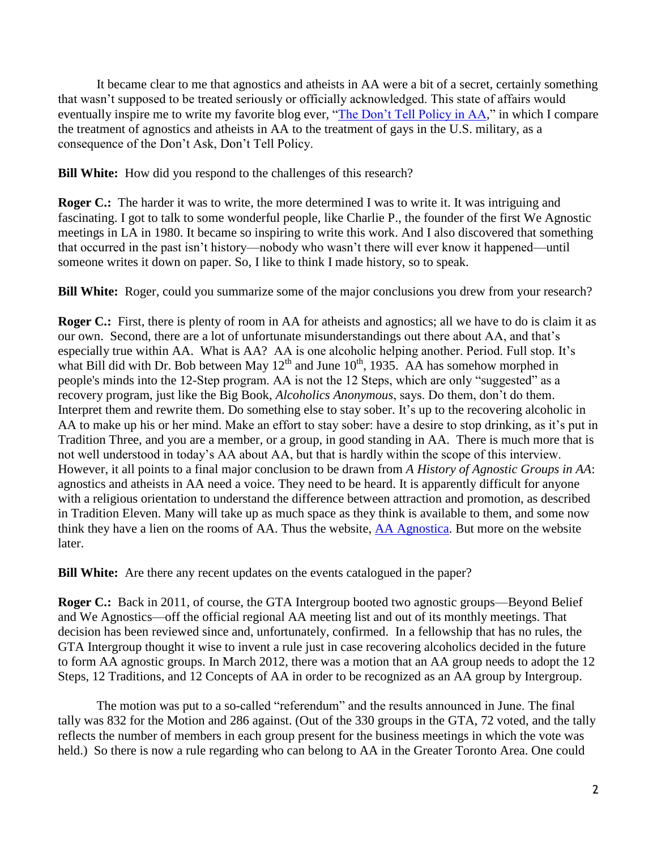It became clear to me that agnostics and atheists in AA were a bit of a secret, certainly something that wasn't supposed to be treated seriously or officially acknowledged. This state of affairs would eventually inspire me to write my favorite blog ever, ["The Don't Tell Policy in AA,](http://aaagnostica.org/2012/01/05/the-dont-tell-policy-in-aa/)" in which I compare the treatment of agnostics and atheists in AA to the treatment of gays in the U.S. military, as a consequence of the Don't Ask, Don't Tell Policy.

**Bill White:** How did you respond to the challenges of this research?

**Roger C.:** The harder it was to write, the more determined I was to write it. It was intriguing and fascinating. I got to talk to some wonderful people, like Charlie P., the founder of the first We Agnostic meetings in LA in 1980. It became so inspiring to write this work. And I also discovered that something that occurred in the past isn't history—nobody who wasn't there will ever know it happened—until someone writes it down on paper. So, I like to think I made history, so to speak.

**Bill White:** Roger, could you summarize some of the major conclusions you drew from your research?

**Roger C.:** First, there is plenty of room in AA for atheists and agnostics; all we have to do is claim it as our own. Second, there are a lot of unfortunate misunderstandings out there about AA, and that's especially true within AA. What is AA? AA is one alcoholic helping another. Period. Full stop. It's what Bill did with Dr. Bob between May  $12^{th}$  and June  $10^{th}$ , 1935. AA has somehow morphed in people's minds into the 12-Step program. AA is not the 12 Steps, which are only "suggested" as a recovery program, just like the Big Book, *Alcoholics Anonymous*, says. Do them, don't do them. Interpret them and rewrite them. Do something else to stay sober. It's up to the recovering alcoholic in AA to make up his or her mind. Make an effort to stay sober: have a desire to stop drinking, as it's put in Tradition Three, and you are a member, or a group, in good standing in AA. There is much more that is not well understood in today's AA about AA, but that is hardly within the scope of this interview. However, it all points to a final major conclusion to be drawn from *A History of Agnostic Groups in AA*: agnostics and atheists in AA need a voice. They need to be heard. It is apparently difficult for anyone with a religious orientation to understand the difference between attraction and promotion, as described in Tradition Eleven. Many will take up as much space as they think is available to them, and some now think they have a lien on the rooms of AA. Thus the website, [AA Agnostica.](http://aaagnostica.org/) But more on the website later.

**Bill White:** Are there any recent updates on the events catalogued in the paper?

**Roger C.:** Back in 2011, of course, the GTA Intergroup booted two agnostic groups—Beyond Belief and We Agnostics—off the official regional AA meeting list and out of its monthly meetings. That decision has been reviewed since and, unfortunately, confirmed. In a fellowship that has no rules, the GTA Intergroup thought it wise to invent a rule just in case recovering alcoholics decided in the future to form AA agnostic groups. In March 2012, there was a motion that an AA group needs to adopt the 12 Steps, 12 Traditions, and 12 Concepts of AA in order to be recognized as an AA group by Intergroup.

The motion was put to a so-called "referendum" and the results announced in June. The final tally was 832 for the Motion and 286 against. (Out of the 330 groups in the GTA, 72 voted, and the tally reflects the number of members in each group present for the business meetings in which the vote was held.) So there is now a rule regarding who can belong to AA in the Greater Toronto Area. One could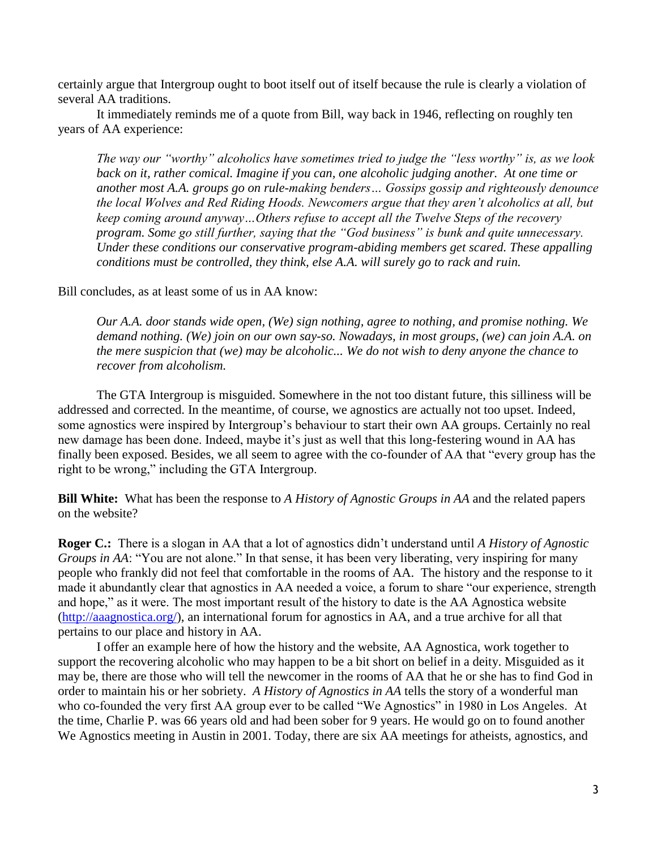certainly argue that Intergroup ought to boot itself out of itself because the rule is clearly a violation of several AA traditions.

It immediately reminds me of a quote from Bill, way back in 1946, reflecting on roughly ten years of AA experience:

*The way our "worthy" alcoholics have sometimes tried to judge the "less worthy" is, as we look back on it, rather comical. Imagine if you can, one alcoholic judging another. At one time or another most A.A. groups go on rule-making benders… Gossips gossip and righteously denounce the local Wolves and Red Riding Hoods. Newcomers argue that they aren't alcoholics at all, but keep coming around anyway…Others refuse to accept all the Twelve Steps of the recovery program. Some go still further, saying that the "God business" is bunk and quite unnecessary. Under these conditions our conservative program-abiding members get scared. These appalling conditions must be controlled, they think, else A.A. will surely go to rack and ruin.*

Bill concludes, as at least some of us in AA know:

*Our A.A. door stands wide open, (We) sign nothing, agree to nothing, and promise nothing. We demand nothing. (We) join on our own say-so. Nowadays, in most groups, (we) can join A.A. on the mere suspicion that (we) may be alcoholic... We do not wish to deny anyone the chance to recover from alcoholism.*

The GTA Intergroup is misguided. Somewhere in the not too distant future, this silliness will be addressed and corrected. In the meantime, of course, we agnostics are actually not too upset. Indeed, some agnostics were inspired by Intergroup's behaviour to start their own AA groups. Certainly no real new damage has been done. Indeed, maybe it's just as well that this long-festering wound in AA has finally been exposed. Besides, we all seem to agree with the co-founder of AA that "every group has the right to be wrong," including the GTA Intergroup.

**Bill White:** What has been the response to *A History of Agnostic Groups in AA* and the related papers on the website?

**Roger C.:** There is a slogan in AA that a lot of agnostics didn't understand until *A History of Agnostic Groups in AA*: "You are not alone." In that sense, it has been very liberating, very inspiring for many people who frankly did not feel that comfortable in the rooms of AA. The history and the response to it made it abundantly clear that agnostics in AA needed a voice, a forum to share "our experience, strength and hope," as it were. The most important result of the history to date is the AA Agnostica website [\(http://aaagnostica.org/\)](http://aaagnostica.org/), an international forum for agnostics in AA, and a true archive for all that pertains to our place and history in AA.

I offer an example here of how the history and the website, AA Agnostica, work together to support the recovering alcoholic who may happen to be a bit short on belief in a deity. Misguided as it may be, there are those who will tell the newcomer in the rooms of AA that he or she has to find God in order to maintain his or her sobriety. *A History of Agnostics in AA* tells the story of a wonderful man who co-founded the very first AA group ever to be called "We Agnostics" in 1980 in Los Angeles. At the time, Charlie P. was 66 years old and had been sober for 9 years. He would go on to found another We Agnostics meeting in Austin in 2001. Today, there are six AA meetings for atheists, agnostics, and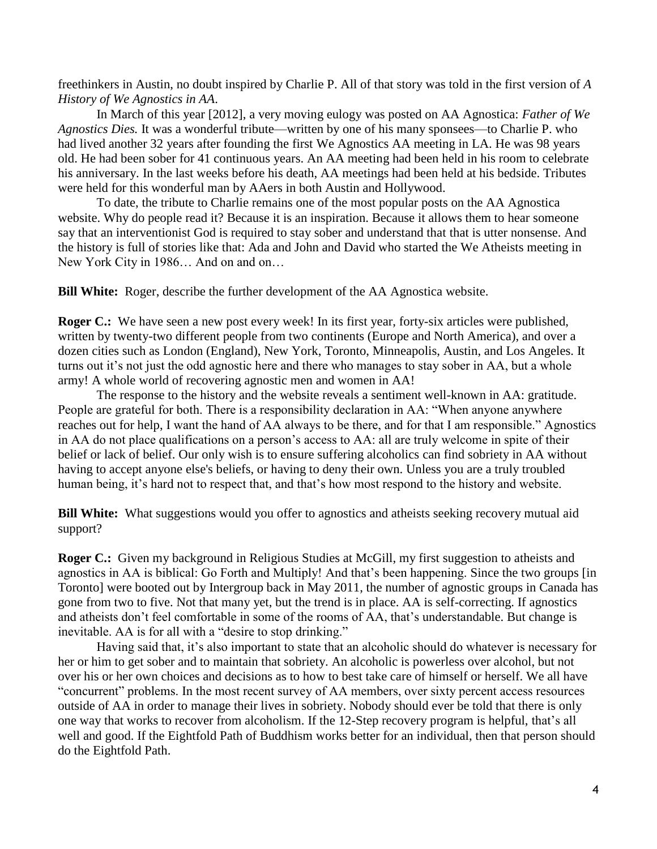freethinkers in Austin, no doubt inspired by Charlie P. All of that story was told in the first version of *A History of We Agnostics in AA*.

In March of this year [2012], a very moving eulogy was posted on AA Agnostica: *[Father of We](http://aaagnostica.org/2012/03/09/father-of-we-agnostics-dies/)  [Agnostics Dies.](http://aaagnostica.org/2012/03/09/father-of-we-agnostics-dies/)* It was a wonderful tribute—written by one of his many sponsees—to Charlie P. who had lived another 32 years after founding the first We Agnostics AA meeting in LA. He was 98 years old. He had been sober for 41 continuous years. An AA meeting had been held in his room to celebrate his anniversary. In the last weeks before his death, AA meetings had been held at his bedside. Tributes were held for this wonderful man by AAers in both Austin and Hollywood.

To date, the tribute to Charlie remains one of the most popular posts on the AA Agnostica website. Why do people read it? Because it is an inspiration. Because it allows them to hear someone say that an interventionist God is required to stay sober and understand that that is utter nonsense. And the history is full of stories like that: Ada and John and David who started the We Atheists meeting in New York City in 1986… And on and on…

**Bill White:** Roger, describe the further development of the AA Agnostica website.

**Roger C.:** We have seen a new post every week! In its first year, forty-six articles were published, written by twenty-two different people from two continents (Europe and North America), and over a dozen cities such as London (England), New York, Toronto, Minneapolis, Austin, and Los Angeles. It turns out it's not just the odd agnostic here and there who manages to stay sober in AA, but a whole army! A whole world of recovering agnostic men and women in AA!

The response to the history and the website reveals a sentiment well-known in AA: gratitude. People are grateful for both. There is a responsibility declaration in AA: "When anyone anywhere reaches out for help, I want the hand of AA always to be there, and for that I am responsible." Agnostics in AA do not place qualifications on a person's access to AA: all are truly welcome in spite of their belief or lack of belief. Our only wish is to ensure suffering alcoholics can find sobriety in AA without having to accept anyone else's beliefs, or having to deny their own. Unless you are a truly troubled human being, it's hard not to respect that, and that's how most respond to the history and website.

**Bill White:** What suggestions would you offer to agnostics and atheists seeking recovery mutual aid support?

**Roger C.:** Given my background in Religious Studies at McGill, my first suggestion to atheists and agnostics in AA is biblical: Go Forth and Multiply! And that's been happening. Since the two groups [in Toronto] were booted out by Intergroup back in May 2011, the number of agnostic groups in Canada has gone from two to five. Not that many yet, but the trend is in place. AA is self-correcting. If agnostics and atheists don't feel comfortable in some of the rooms of AA, that's understandable. But change is inevitable. AA is for all with a "desire to stop drinking."

Having said that, it's also important to state that an alcoholic should do whatever is necessary for her or him to get sober and to maintain that sobriety. An alcoholic is powerless over alcohol, but not over his or her own choices and decisions as to how to best take care of himself or herself. We all have "concurrent" problems. In the most recent survey of AA members, over sixty percent access resources outside of AA in order to manage their lives in sobriety. Nobody should ever be told that there is only one way that works to recover from alcoholism. If the 12-Step recovery program is helpful, that's all well and good. If the Eightfold Path of Buddhism works better for an individual, then that person should do the Eightfold Path.